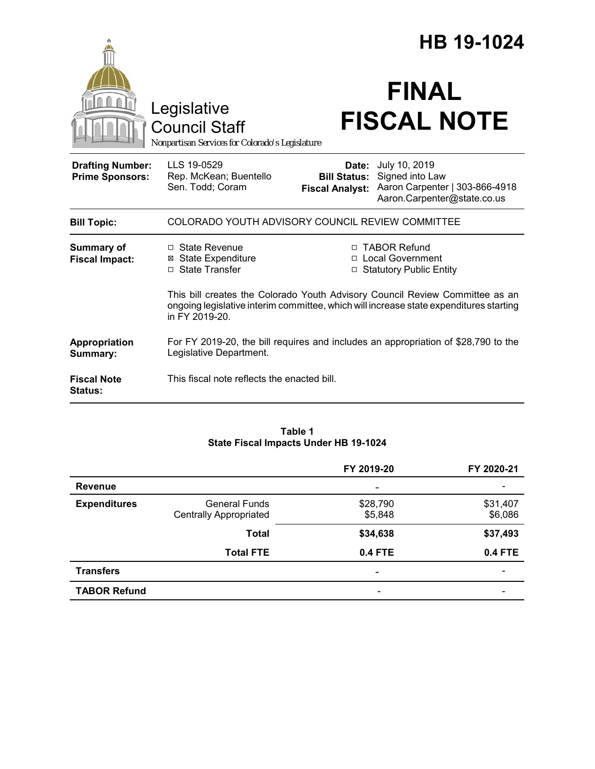|                                                   |                                                                                                                                                                                          |                                                        | HB 19-1024                                                                                        |  |
|---------------------------------------------------|------------------------------------------------------------------------------------------------------------------------------------------------------------------------------------------|--------------------------------------------------------|---------------------------------------------------------------------------------------------------|--|
|                                                   | Legislative<br><b>Council Staff</b><br>Nonpartisan Services for Colorado's Legislature                                                                                                   |                                                        | <b>FINAL</b><br><b>FISCAL NOTE</b>                                                                |  |
| <b>Drafting Number:</b><br><b>Prime Sponsors:</b> | LLS 19-0529<br>Rep. McKean; Buentello<br>Sen. Todd; Coram                                                                                                                                | Date:<br><b>Bill Status:</b><br><b>Fiscal Analyst:</b> | July 10, 2019<br>Signed into Law<br>Aaron Carpenter   303-866-4918<br>Aaron.Carpenter@state.co.us |  |
| <b>Bill Topic:</b>                                | COLORADO YOUTH ADVISORY COUNCIL REVIEW COMMITTEE                                                                                                                                         |                                                        |                                                                                                   |  |
| <b>Summary of</b><br><b>Fiscal Impact:</b>        | □ State Revenue<br><b>⊠</b> State Expenditure<br>□ State Transfer                                                                                                                        |                                                        | □ TABOR Refund<br>□ Local Government<br><b>Statutory Public Entity</b>                            |  |
|                                                   | This bill creates the Colorado Youth Advisory Council Review Committee as an<br>ongoing legislative interim committee, which will increase state expenditures starting<br>in FY 2019-20. |                                                        |                                                                                                   |  |
| Appropriation<br>Summary:                         | For FY 2019-20, the bill requires and includes an appropriation of \$28,790 to the<br>Legislative Department.                                                                            |                                                        |                                                                                                   |  |
| <b>Fiscal Note</b><br><b>Status:</b>              | This fiscal note reflects the enacted bill.                                                                                                                                              |                                                        |                                                                                                   |  |

#### **Table 1 State Fiscal Impacts Under HB 19-1024**

|                     |                               | FY 2019-20     | FY 2020-21               |
|---------------------|-------------------------------|----------------|--------------------------|
| <b>Revenue</b>      |                               | -              |                          |
| <b>Expenditures</b> | <b>General Funds</b>          | \$28,790       | \$31,407                 |
|                     | <b>Centrally Appropriated</b> | \$5,848        | \$6,086                  |
|                     | <b>Total</b>                  | \$34,638       | \$37,493                 |
|                     | <b>Total FTE</b>              | <b>0.4 FTE</b> | <b>0.4 FTE</b>           |
| <b>Transfers</b>    |                               | -              | $\overline{\phantom{0}}$ |
| <b>TABOR Refund</b> |                               |                |                          |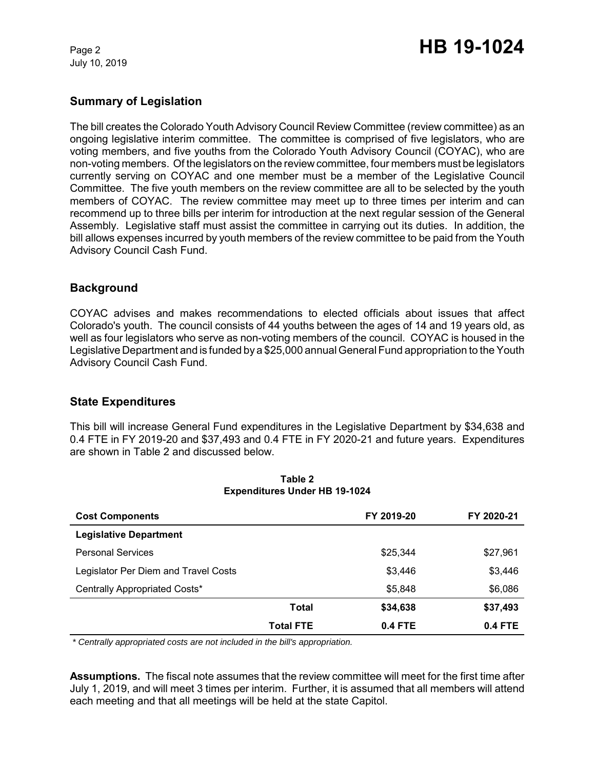July 10, 2019

# **Summary of Legislation**

The bill creates the Colorado Youth Advisory Council Review Committee (review committee) as an ongoing legislative interim committee. The committee is comprised of five legislators, who are voting members, and five youths from the Colorado Youth Advisory Council (COYAC), who are non-voting members. Of the legislators on the review committee, four members must be legislators currently serving on COYAC and one member must be a member of the Legislative Council Committee. The five youth members on the review committee are all to be selected by the youth members of COYAC. The review committee may meet up to three times per interim and can recommend up to three bills per interim for introduction at the next regular session of the General Assembly. Legislative staff must assist the committee in carrying out its duties. In addition, the bill allows expenses incurred by youth members of the review committee to be paid from the Youth Advisory Council Cash Fund.

# **Background**

COYAC advises and makes recommendations to elected officials about issues that affect Colorado's youth. The council consists of 44 youths between the ages of 14 and 19 years old, as well as four legislators who serve as non-voting members of the council. COYAC is housed in the Legislative Department and is funded by a \$25,000 annual General Fund appropriation to the Youth Advisory Council Cash Fund.

# **State Expenditures**

This bill will increase General Fund expenditures in the Legislative Department by \$34,638 and 0.4 FTE in FY 2019-20 and \$37,493 and 0.4 FTE in FY 2020-21 and future years. Expenditures are shown in Table 2 and discussed below.

| <b>Cost Components</b>               |                  | FY 2019-20 | FY 2020-21 |
|--------------------------------------|------------------|------------|------------|
| <b>Legislative Department</b>        |                  |            |            |
| <b>Personal Services</b>             |                  | \$25,344   | \$27,961   |
| Legislator Per Diem and Travel Costs |                  | \$3,446    | \$3,446    |
| Centrally Appropriated Costs*        |                  | \$5,848    | \$6,086    |
|                                      | Total            | \$34,638   | \$37,493   |
|                                      | <b>Total FTE</b> | 0.4 FTE    | $0.4$ FTE  |

**Table 2 Expenditures Under HB 19-1024**

 *\* Centrally appropriated costs are not included in the bill's appropriation.*

**Assumptions.** The fiscal note assumes that the review committee will meet for the first time after July 1, 2019, and will meet 3 times per interim. Further, it is assumed that all members will attend each meeting and that all meetings will be held at the state Capitol.